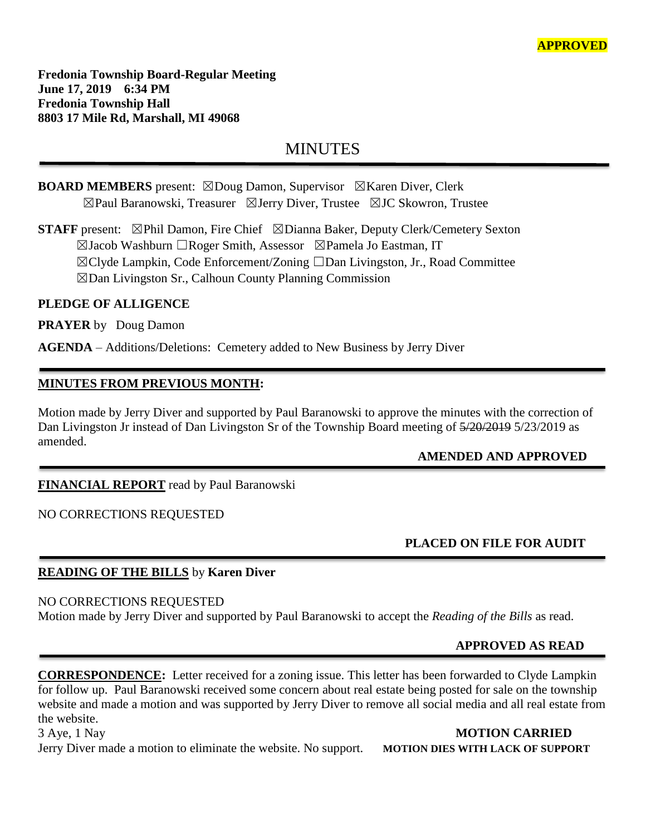**Fredonia Township Board-Regular Meeting June 17, 2019 6:34 PM Fredonia Township Hall 8803 17 Mile Rd, Marshall, MI 49068**

# MINUTES

**BOARD MEMBERS** present: ☒Doug Damon, Supervisor ☒Karen Diver, Clerk ☒Paul Baranowski, Treasurer ☒Jerry Diver, Trustee ☒JC Skowron, Trustee

**STAFF** present: ⊠Phil Damon, Fire Chief ⊠Dianna Baker, Deputy Clerk/Cemetery Sexton ☒Jacob Washburn ☐Roger Smith, Assessor ☒Pamela Jo Eastman, IT ☒Clyde Lampkin, Code Enforcement/Zoning ☐Dan Livingston, Jr., Road Committee ☒Dan Livingston Sr., Calhoun County Planning Commission

#### **PLEDGE OF ALLIGENCE**

**PRAYER** by Doug Damon

**AGENDA** – Additions/Deletions: Cemetery added to New Business by Jerry Diver

# **MINUTES FROM PREVIOUS MONTH:**

Motion made by Jerry Diver and supported by Paul Baranowski to approve the minutes with the correction of Dan Livingston Jr instead of Dan Livingston Sr of the Township Board meeting of  $\frac{5}{20/2019}$  5/23/2019 as amended.

# **AMENDED AND APPROVED**

# **FINANCIAL REPORT** read by Paul Baranowski

#### NO CORRECTIONS REQUESTED

# **PLACED ON FILE FOR AUDIT**

# **READING OF THE BILLS** by **Karen Diver**

NO CORRECTIONS REQUESTED

Motion made by Jerry Diver and supported by Paul Baranowski to accept the *Reading of the Bills* as read.

# **APPROVED AS READ**

**CORRESPONDENCE:** Letter received for a zoning issue. This letter has been forwarded to Clyde Lampkin for follow up. Paul Baranowski received some concern about real estate being posted for sale on the township website and made a motion and was supported by Jerry Diver to remove all social media and all real estate from the website.

3 Aye, 1 Nay **MOTION CARRIED** Jerry Diver made a motion to eliminate the website. No support. **MOTION DIES WITH LACK OF SUPPORT**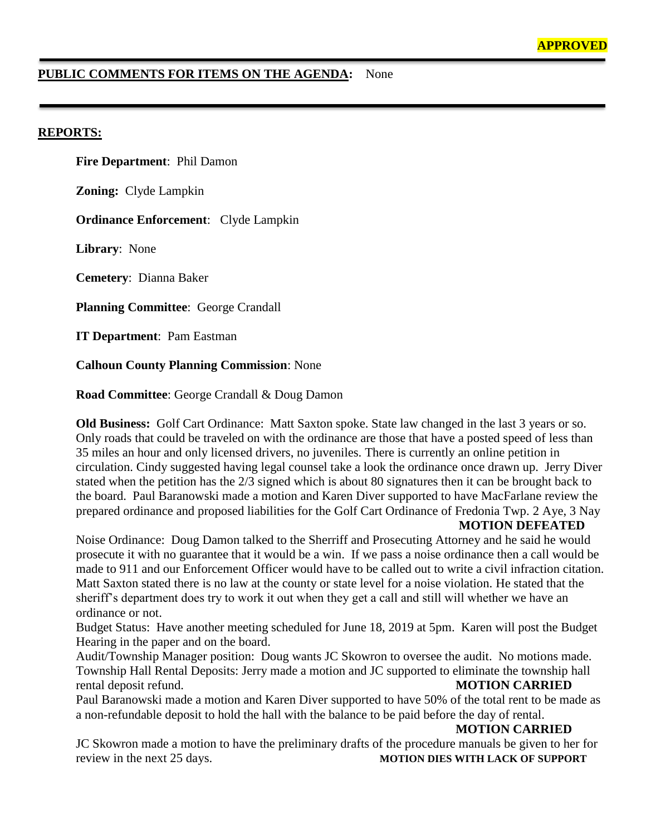#### **PUBLIC COMMENTS FOR ITEMS ON THE AGENDA:** None

#### **REPORTS:**

**Fire Department**: Phil Damon

**Zoning:** Clyde Lampkin

**Ordinance Enforcement**: Clyde Lampkin

**Library**: None

**Cemetery**: Dianna Baker

**Planning Committee**: George Crandall

**IT Department**: Pam Eastman

**Calhoun County Planning Commission**: None

**Road Committee**: George Crandall & Doug Damon

**Old Business:** Golf Cart Ordinance: Matt Saxton spoke. State law changed in the last 3 years or so. Only roads that could be traveled on with the ordinance are those that have a posted speed of less than 35 miles an hour and only licensed drivers, no juveniles. There is currently an online petition in circulation. Cindy suggested having legal counsel take a look the ordinance once drawn up. Jerry Diver stated when the petition has the 2/3 signed which is about 80 signatures then it can be brought back to the board. Paul Baranowski made a motion and Karen Diver supported to have MacFarlane review the prepared ordinance and proposed liabilities for the Golf Cart Ordinance of Fredonia Twp. 2 Aye, 3 Nay

**MOTION DEFEATED**

Noise Ordinance: Doug Damon talked to the Sherriff and Prosecuting Attorney and he said he would prosecute it with no guarantee that it would be a win. If we pass a noise ordinance then a call would be made to 911 and our Enforcement Officer would have to be called out to write a civil infraction citation. Matt Saxton stated there is no law at the county or state level for a noise violation. He stated that the sheriff's department does try to work it out when they get a call and still will whether we have an ordinance or not.

Budget Status: Have another meeting scheduled for June 18, 2019 at 5pm. Karen will post the Budget Hearing in the paper and on the board.

Audit/Township Manager position: Doug wants JC Skowron to oversee the audit. No motions made. Township Hall Rental Deposits: Jerry made a motion and JC supported to eliminate the township hall rental deposit refund. **MOTION CARRIED**

Paul Baranowski made a motion and Karen Diver supported to have 50% of the total rent to be made as a non-refundable deposit to hold the hall with the balance to be paid before the day of rental.

**MOTION CARRIED**

JC Skowron made a motion to have the preliminary drafts of the procedure manuals be given to her for review in the next 25 days. **MOTION DIES WITH LACK OF SUPPORT**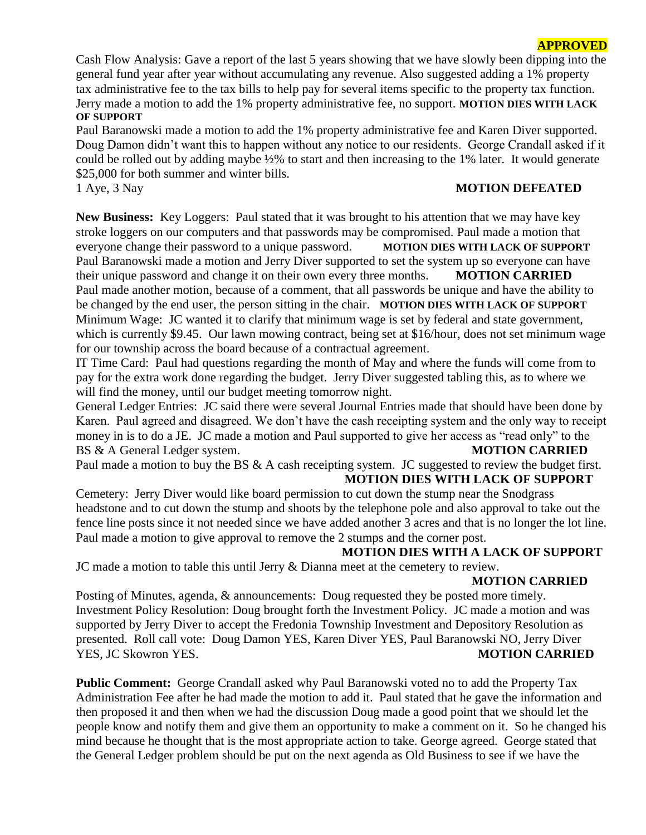#### **APPROVED**

Cash Flow Analysis: Gave a report of the last 5 years showing that we have slowly been dipping into the general fund year after year without accumulating any revenue. Also suggested adding a 1% property tax administrative fee to the tax bills to help pay for several items specific to the property tax function. Jerry made a motion to add the 1% property administrative fee, no support. **MOTION DIES WITH LACK OF SUPPORT**

Paul Baranowski made a motion to add the 1% property administrative fee and Karen Diver supported. Doug Damon didn't want this to happen without any notice to our residents. George Crandall asked if it could be rolled out by adding maybe ½% to start and then increasing to the 1% later. It would generate \$25,000 for both summer and winter bills.

#### 1 Aye, 3 Nay **MOTION DEFEATED**

**New Business:** Key Loggers: Paul stated that it was brought to his attention that we may have key stroke loggers on our computers and that passwords may be compromised. Paul made a motion that everyone change their password to a unique password. **MOTION DIES WITH LACK OF SUPPORT** Paul Baranowski made a motion and Jerry Diver supported to set the system up so everyone can have their unique password and change it on their own every three months. **MOTION CARRIED** Paul made another motion, because of a comment, that all passwords be unique and have the ability to be changed by the end user, the person sitting in the chair. **MOTION DIES WITH LACK OF SUPPORT** Minimum Wage: JC wanted it to clarify that minimum wage is set by federal and state government, which is currently \$9.45. Our lawn mowing contract, being set at \$16/hour, does not set minimum wage for our township across the board because of a contractual agreement.

IT Time Card: Paul had questions regarding the month of May and where the funds will come from to pay for the extra work done regarding the budget. Jerry Diver suggested tabling this, as to where we will find the money, until our budget meeting tomorrow night.

General Ledger Entries: JC said there were several Journal Entries made that should have been done by Karen. Paul agreed and disagreed. We don't have the cash receipting system and the only way to receipt money in is to do a JE. JC made a motion and Paul supported to give her access as "read only" to the BS & A General Ledger system. **MOTION CARRIED**

Paul made a motion to buy the BS & A cash receipting system. JC suggested to review the budget first.

# **MOTION DIES WITH LACK OF SUPPORT**

Cemetery: Jerry Diver would like board permission to cut down the stump near the Snodgrass headstone and to cut down the stump and shoots by the telephone pole and also approval to take out the fence line posts since it not needed since we have added another 3 acres and that is no longer the lot line. Paul made a motion to give approval to remove the 2 stumps and the corner post.

#### **MOTION DIES WITH A LACK OF SUPPORT**

JC made a motion to table this until Jerry & Dianna meet at the cemetery to review.

#### **MOTION CARRIED**

Posting of Minutes, agenda, & announcements: Doug requested they be posted more timely. Investment Policy Resolution: Doug brought forth the Investment Policy. JC made a motion and was supported by Jerry Diver to accept the Fredonia Township Investment and Depository Resolution as presented. Roll call vote: Doug Damon YES, Karen Diver YES, Paul Baranowski NO, Jerry Diver YES, JC Skowron YES. **MOTION CARRIED**

**Public Comment:** George Crandall asked why Paul Baranowski voted no to add the Property Tax Administration Fee after he had made the motion to add it. Paul stated that he gave the information and then proposed it and then when we had the discussion Doug made a good point that we should let the people know and notify them and give them an opportunity to make a comment on it. So he changed his mind because he thought that is the most appropriate action to take. George agreed. George stated that the General Ledger problem should be put on the next agenda as Old Business to see if we have the